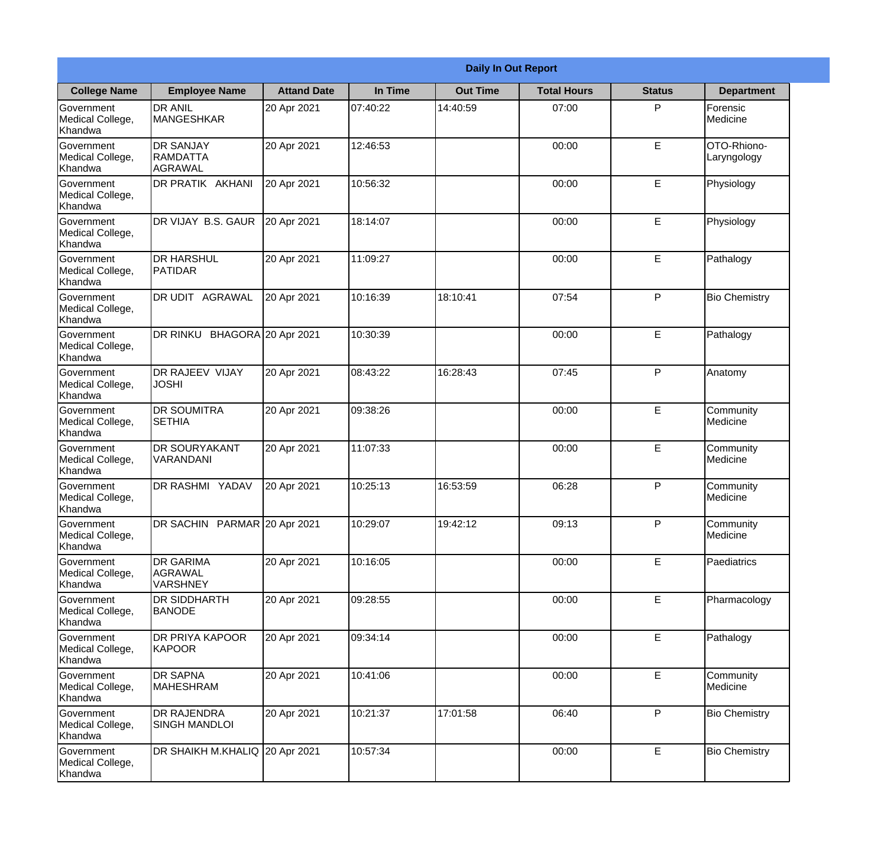|                                                  | <b>Daily In Out Report</b>                            |                    |          |                 |                    |               |                            |  |
|--------------------------------------------------|-------------------------------------------------------|--------------------|----------|-----------------|--------------------|---------------|----------------------------|--|
| <b>College Name</b>                              | <b>Employee Name</b>                                  | <b>Attand Date</b> | In Time  | <b>Out Time</b> | <b>Total Hours</b> | <b>Status</b> | <b>Department</b>          |  |
| Government<br>Medical College,<br>Khandwa        | <b>DR ANIL</b><br><b>MANGESHKAR</b>                   | 20 Apr 2021        | 07:40:22 | 14:40:59        | 07:00              | P             | Forensic<br>Medicine       |  |
| Government<br>Medical College,<br>Khandwa        | <b>DR SANJAY</b><br><b>RAMDATTA</b><br><b>AGRAWAL</b> | 20 Apr 2021        | 12:46:53 |                 | 00:00              | $\mathsf E$   | OTO-Rhiono-<br>Laryngology |  |
| <b>Government</b><br>Medical College,<br>Khandwa | DR PRATIK AKHANI                                      | 20 Apr 2021        | 10:56:32 |                 | 00:00              | E             | Physiology                 |  |
| <b>Government</b><br>Medical College,<br>Khandwa | DR VIJAY B.S. GAUR                                    | 20 Apr 2021        | 18:14:07 |                 | 00:00              | E             | Physiology                 |  |
| Government<br>Medical College,<br>Khandwa        | <b>DR HARSHUL</b><br>PATIDAR                          | 20 Apr 2021        | 11:09:27 |                 | 00:00              | E             | Pathalogy                  |  |
| Government<br>Medical College,<br>Khandwa        | DR UDIT AGRAWAL                                       | 20 Apr 2021        | 10:16:39 | 18:10:41        | 07:54              | P             | <b>Bio Chemistry</b>       |  |
| <b>Government</b><br>Medical College,<br>Khandwa | DR RINKU BHAGORA 20 Apr 2021                          |                    | 10:30:39 |                 | 00:00              | E             | Pathalogy                  |  |
| <b>Government</b><br>Medical College,<br>Khandwa | DR RAJEEV VIJAY<br><b>JOSHI</b>                       | 20 Apr 2021        | 08:43:22 | 16:28:43        | 07:45              | P             | Anatomy                    |  |
| Government<br>Medical College,<br>Khandwa        | <b>DR SOUMITRA</b><br><b>SETHIA</b>                   | 20 Apr 2021        | 09:38:26 |                 | 00:00              | E             | Community<br>Medicine      |  |
| Government<br>Medical College,<br>Khandwa        | <b>DR SOURYAKANT</b><br>VARANDANI                     | 20 Apr 2021        | 11:07:33 |                 | 00:00              | E             | Community<br>Medicine      |  |
| Government<br>Medical College,<br>Khandwa        | <b>DR RASHMI YADAV</b>                                | 20 Apr 2021        | 10:25:13 | 16:53:59        | 06:28              | P             | Community<br>Medicine      |  |
| Government<br>Medical College,<br>Khandwa        | DR SACHIN PARMAR 20 Apr 2021                          |                    | 10:29:07 | 19:42:12        | 09:13              | P             | Community<br>Medicine      |  |
| Government<br>Medical College,<br>Khandwa        | <b>DR GARIMA</b><br>AGRAWAL<br><b>VARSHNEY</b>        | 20 Apr 2021        | 10:16:05 |                 | 00:00              | E             | Paediatrics                |  |
| Government<br>Medical College,<br>Khandwa        | <b>DR SIDDHARTH</b><br><b>BANODE</b>                  | 20 Apr 2021        | 09:28:55 |                 | 00:00              | $\mathsf E$   | Pharmacology               |  |
| <b>Government</b><br>Medical College,<br>Khandwa | DR PRIYA KAPOOR<br>KAPOOR                             | 20 Apr 2021        | 09:34:14 |                 | 00:00              | E             | Pathalogy                  |  |
| Government<br>Medical College,<br>Khandwa        | <b>DR SAPNA</b><br>MAHESHRAM                          | 20 Apr 2021        | 10:41:06 |                 | 00:00              | E             | Community<br>Medicine      |  |
| Government<br>Medical College,<br>Khandwa        | <b>DR RAJENDRA</b><br><b>SINGH MANDLOI</b>            | 20 Apr 2021        | 10:21:37 | 17:01:58        | 06:40              | P             | <b>Bio Chemistry</b>       |  |
| Government<br>Medical College,<br>Khandwa        | DR SHAIKH M.KHALIQ 20 Apr 2021                        |                    | 10:57:34 |                 | 00:00              | $\mathsf E$   | <b>Bio Chemistry</b>       |  |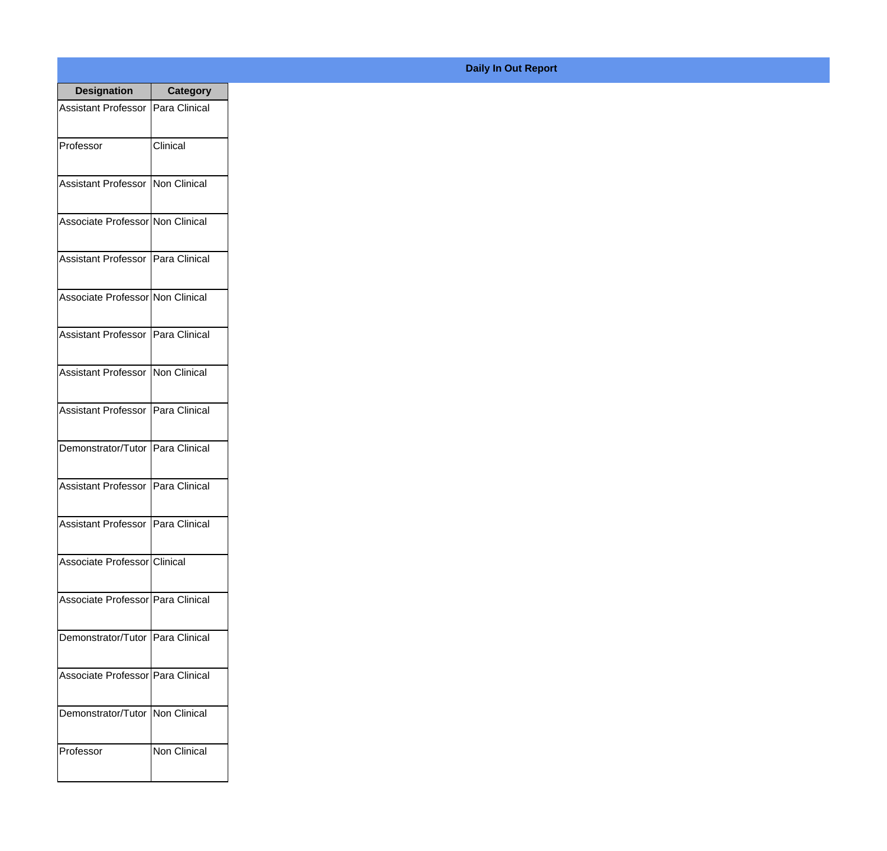| <b>Designation</b>                  | <b>Category</b> |
|-------------------------------------|-----------------|
| Assistant Professor   Para Clinical |                 |
| Professor                           | Clinical        |
| Assistant Professor   Non Clinical  |                 |
| Associate Professor Non Clinical    |                 |
| Assistant Professor   Para Clinical |                 |
| Associate Professor Non Clinical    |                 |
| Assistant Professor Para Clinical   |                 |
| Assistant Professor   Non Clinical  |                 |
| Assistant Professor   Para Clinical |                 |
| Demonstrator/Tutor   Para Clinical  |                 |
| <b>Assistant Professor</b>          | Para Clinical   |
| Assistant Professor   Para Clinical |                 |
| Associate Professor Clinical        |                 |
| Associate Professor Para Clinical   |                 |
| Demonstrator/Tutor   Para Clinical  |                 |
| Associate Professor Para Clinical   |                 |
| Demonstrator/Tutor   Non Clinical   |                 |
| Professor                           | Non Clinical    |

## **Daily In Out Report**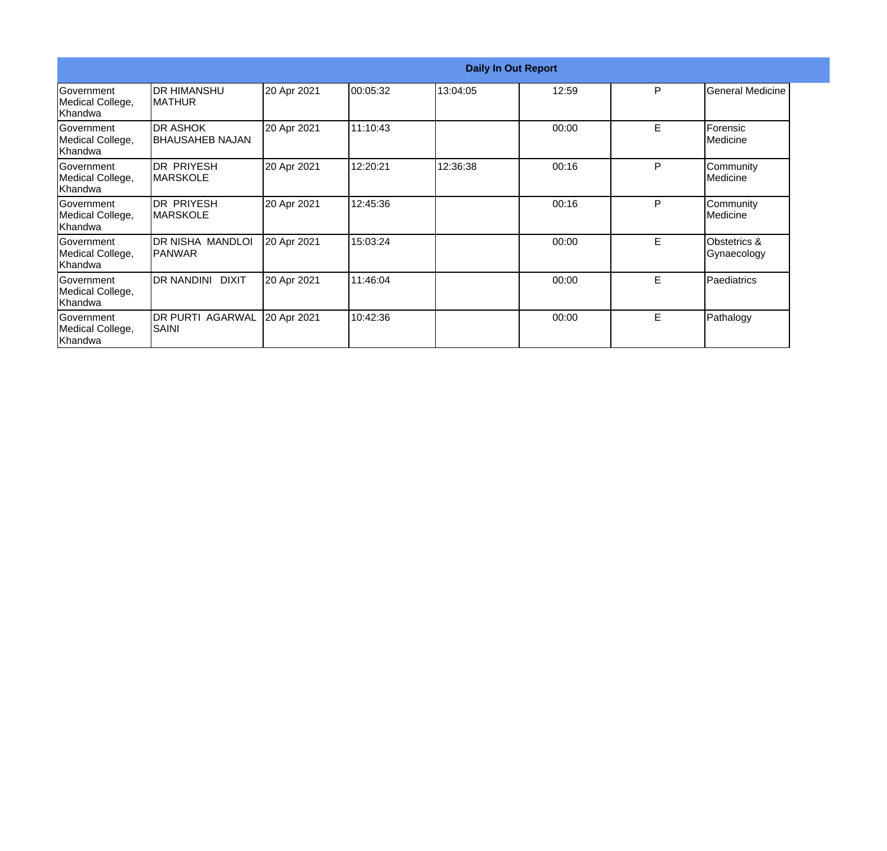|                                                   | <b>Daily In Out Report</b>                  |             |          |          |       |   |                             |  |
|---------------------------------------------------|---------------------------------------------|-------------|----------|----------|-------|---|-----------------------------|--|
| Government<br>Medical College,<br>lKhandwa        | <b>IDR HIMANSHU</b><br><b>IMATHUR</b>       | 20 Apr 2021 | 00:05:32 | 13:04:05 | 12:59 | P | <b>General Medicine</b>     |  |
| <b>IGovernment</b><br>Medical College,<br>Khandwa | <b>DR ASHOK</b><br><b>I</b> BHAUSAHEB NAJAN | 20 Apr 2021 | 11:10:43 |          | 00:00 | Е | Forensic<br>Medicine        |  |
| Government<br>Medical College,<br> Khandwa        | <b>DR PRIYESH</b><br><b>IMARSKOLE</b>       | 20 Apr 2021 | 12:20:21 | 12:36:38 | 00:16 | P | Community<br>Medicine       |  |
| Government<br>Medical College,<br>Khandwa         | IDR PRIYESH<br><b>IMARSKOLE</b>             | 20 Apr 2021 | 12:45:36 |          | 00:16 | P | Community<br>Medicine       |  |
| Government<br>Medical College,<br>Khandwa         | DR NISHA MANDLOI<br>IPANWAR                 | 20 Apr 2021 | 15:03:24 |          | 00:00 | E | Obstetrics &<br>Gynaecology |  |
| <b>IGovernment</b><br>Medical College,<br>Khandwa | DR NANDINI DIXIT                            | 20 Apr 2021 | 11:46:04 |          | 00:00 | E | Paediatrics                 |  |
| <b>IGovernment</b><br>Medical College,<br>Khandwa | <b>DR PURTI AGARWAL</b><br>SAINI            | 20 Apr 2021 | 10:42:36 |          | 00:00 | E | Pathalogy                   |  |